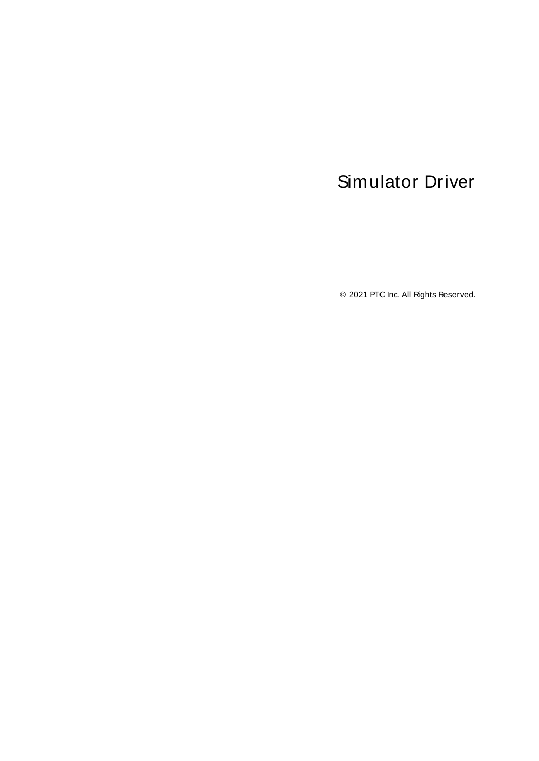# <span id="page-0-0"></span>Simulator Driver

© 2021 PTC Inc. All Rights Reserved.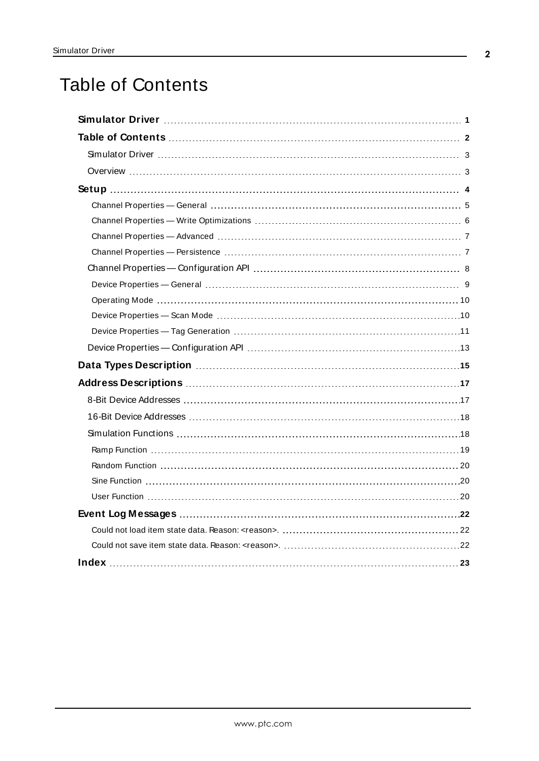# <span id="page-1-0"></span>Table of Contents

| Data Types Description manufacture and the USA of the USA of the USA of the USA of the USA of the USA of the U |
|----------------------------------------------------------------------------------------------------------------|
|                                                                                                                |
|                                                                                                                |
|                                                                                                                |
|                                                                                                                |
|                                                                                                                |
|                                                                                                                |
|                                                                                                                |
|                                                                                                                |
|                                                                                                                |
|                                                                                                                |
|                                                                                                                |
|                                                                                                                |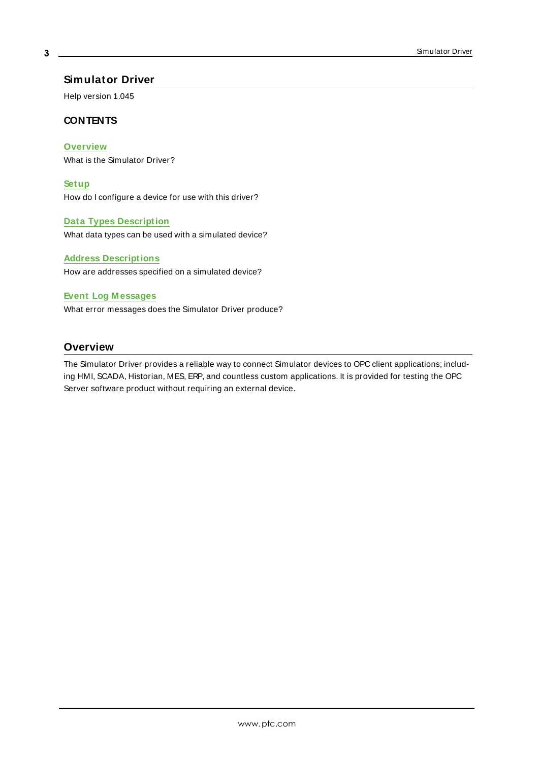## <span id="page-2-0"></span>**Simulator Driver**

Help version 1.045

### **CONTENTS**

**[Overview](#page-2-1)**

What is the Simulator Driver?

**[Setup](#page-3-0)**

How do I configure a device for use with this driver?

#### **Data Types [Description](#page-14-0)**

What data types can be used with a simulated device?

#### **Address [Descriptions](#page-16-0)**

How are addresses specified on a simulated device?

#### **Event Log [M essages](#page-21-1)**

What error messages does the Simulator Driver produce?

## <span id="page-2-1"></span>**Overview**

The Simulator Driver provides a reliable way to connect Simulator devices to OPC client applications; including HMI, SCADA, Historian, MES, ERP, and countless custom applications. It is provided for testing the OPC Server software product without requiring an external device.

**3**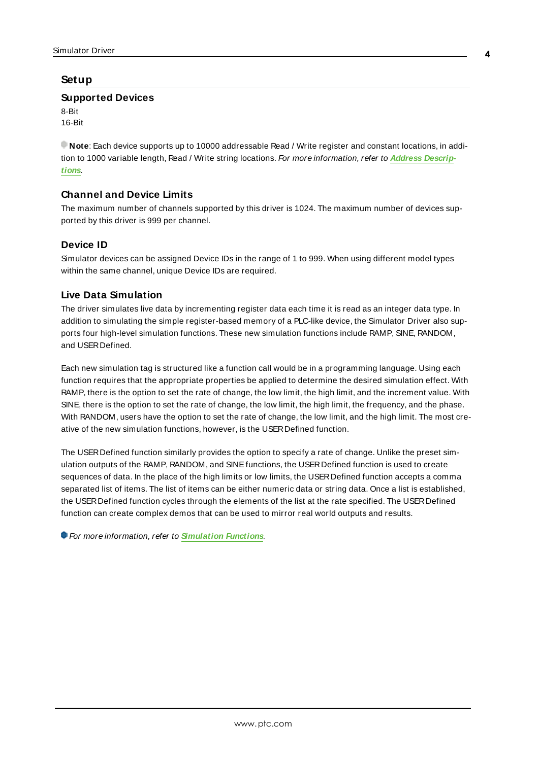## <span id="page-3-0"></span>**Setup**

### **Supported Devices**

8-Bit 16-Bit

**Note**: Each device supports up to 10000 addressable Read / Write register and constant locations, in addition to 1000 variable length, Read / Write string locations. For more information, refer to **Address [Descrip](#page-16-0)[tions](#page-16-0)**.

# **Channel and Device Limits**

The maximum number of channels supported by this driver is 1024. The maximum number of devices supported by this driver is 999 per channel.

## **Device ID**

Simulator devices can be assigned Device IDs in the range of 1 to 999. When using different model types within the same channel, unique Device IDs are required.

## **Live Data Simulation**

The driver simulates live data by incrementing register data each time it is read as an integer data type. In addition to simulating the simple register-based memory of a PLC-like device, the Simulator Driver also supports four high-level simulation functions. These new simulation functions include RAMP, SINE, RANDOM, and USERDefined.

Each new simulation tag is structured like a function call would be in a programming language. Using each function requires that the appropriate properties be applied to determine the desired simulation effect. With RAMP, there is the option to set the rate of change, the low limit, the high limit, and the increment value. With SINE, there is the option to set the rate of change, the low limit, the high limit, the frequency, and the phase. With RANDOM, users have the option to set the rate of change, the low limit, and the high limit. The most creative of the new simulation functions, however, is the USERDefined function.

The USERDefined function similarly provides the option to specify a rate of change. Unlike the preset simulation outputs of the RAMP, RANDOM, and SINEfunctions, the USERDefined function is used to create sequences of data. In the place of the high limits or low limits, the USER Defined function accepts a comma separated list of items. The list of items can be either numeric data or string data. Once a list is established, the USERDefined function cycles through the elements of the list at the rate specified. The USERDefined function can create complex demos that can be used to mirror real world outputs and results.

For more information, refer to **[Simulation](#page-17-1) Functions**.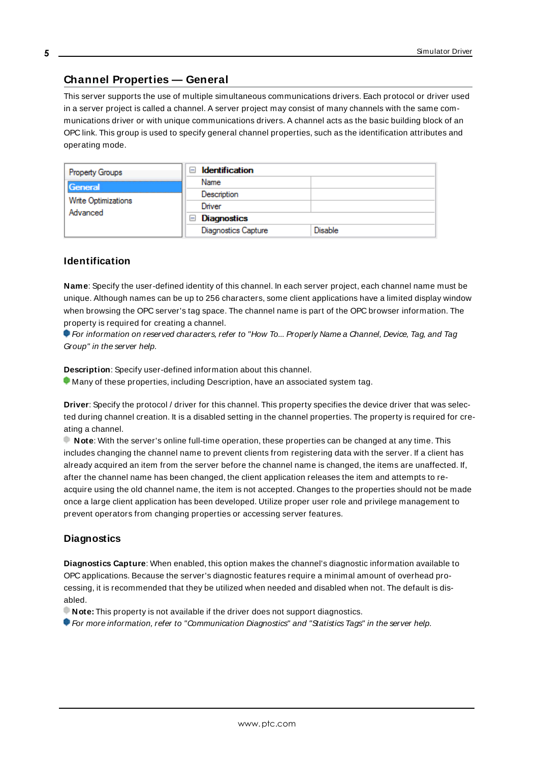# <span id="page-4-0"></span>**Channel Properties — General**

This server supports the use of multiple simultaneous communications drivers. Each protocol or driver used in a server project is called a channel. A server project may consist of many channels with the same communications driver or with unique communications drivers. A channel acts as the basic building block of an OPC link. This group is used to specify general channel properties, such as the identification attributes and operating mode.

| Property Groups                            | <b>Identification</b><br>-1 |         |
|--------------------------------------------|-----------------------------|---------|
| General<br>Write Optimizations<br>Advanced | Name                        |         |
|                                            | Description                 |         |
|                                            | Driver                      |         |
|                                            | Diagnostics<br>$\equiv$     |         |
|                                            | <b>Diagnostics Capture</b>  | Disable |

## **Identification**

**Name**: Specify the user-defined identity of this channel. In each server project, each channel name must be unique. Although names can be up to 256 characters, some client applications have a limited display window when browsing the OPC server's tag space. The channel name is part of the OPC browser information. The property is required for creating a channel.

For information on reserved characters, refer to "How To... Properly Name a Channel, Device, Tag, and Tag Group" in the server help.

**Description**: Specify user-defined information about this channel.

Many of these properties, including Description, have an associated system tag.

**Driver**: Specify the protocol / driver for this channel. This property specifies the device driver that was selected during channel creation. It is a disabled setting in the channel properties. The property is required for creating a channel.

**Note**: With the server's online full-time operation, these properties can be changed at any time. This includes changing the channel name to prevent clients from registering data with the server. If a client has already acquired an item from the server before the channel name is changed, the items are unaffected. If, after the channel name has been changed, the client application releases the item and attempts to reacquire using the old channel name, the item is not accepted. Changes to the properties should not be made once a large client application has been developed. Utilize proper user role and privilege management to prevent operators from changing properties or accessing server features.

### **Diagnostics**

**Diagnostics Capture**: When enabled, this option makes the channel's diagnostic information available to OPC applications. Because the server's diagnostic features require a minimal amount of overhead processing, it is recommended that they be utilized when needed and disabled when not. The default is disabled.

**Note:** This property is not available if the driver does not support diagnostics.

For more information, refer to "Communication Diagnostics" and "Statistics Tags" in the server help.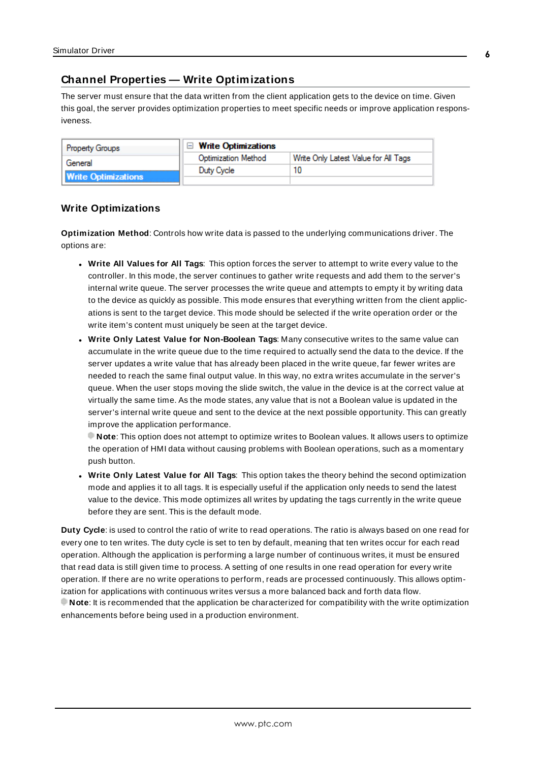# <span id="page-5-0"></span>**Channel Properties — Write Optimizations**

The server must ensure that the data written from the client application gets to the device on time. Given this goal, the server provides optimization properties to meet specific needs or improve application responsiveness.

| <b>Property Groups</b>     | $\Box$ Write Optimizations |                                      |
|----------------------------|----------------------------|--------------------------------------|
| General                    | <b>Optimization Method</b> | Write Only Latest Value for All Tags |
|                            | Duty Cycle                 |                                      |
| <b>Write Optimizations</b> |                            |                                      |

## **Write Optimizations**

**Optimization Method**: Controls how write data is passed to the underlying communications driver. The options are:

- <sup>l</sup> **Write All Values for All Tags**: This option forces the server to attempt to write every value to the controller. In this mode, the server continues to gather write requests and add them to the server's internal write queue. The server processes the write queue and attempts to empty it by writing data to the device as quickly as possible. This mode ensures that everything written from the client applications is sent to the target device. This mode should be selected if the write operation order or the write item's content must uniquely be seen at the target device.
- <sup>l</sup> **Write Only Latest Value for Non-Boolean Tags**: Many consecutive writes to the same value can accumulate in the write queue due to the time required to actually send the data to the device. If the server updates a write value that has already been placed in the write queue, far fewer writes are needed to reach the same final output value. In this way, no extra writes accumulate in the server's queue. When the user stops moving the slide switch, the value in the device is at the correct value at virtually the same time. As the mode states, any value that is not a Boolean value is updated in the server's internal write queue and sent to the device at the next possible opportunity. This can greatly improve the application performance.

**Note**: This option does not attempt to optimize writes to Boolean values. It allows users to optimize the operation of HMI data without causing problems with Boolean operations, such as a momentary push button.

<sup>l</sup> **Write Only Latest Value for All Tags**: This option takes the theory behind the second optimization mode and applies it to all tags. It is especially useful if the application only needs to send the latest value to the device. This mode optimizes all writes by updating the tags currently in the write queue before they are sent. This is the default mode.

**Duty Cycle**: is used to control the ratio of write to read operations. The ratio is always based on one read for every one to ten writes. The duty cycle is set to ten by default, meaning that ten writes occur for each read operation. Although the application is performing a large number of continuous writes, it must be ensured that read data is still given time to process. A setting of one results in one read operation for every write operation. If there are no write operations to perform, reads are processed continuously. This allows optimization for applications with continuous writes versus a more balanced back and forth data flow. **Note**: It is recommended that the application be characterized for compatibility with the write optimization enhancements before being used in a production environment.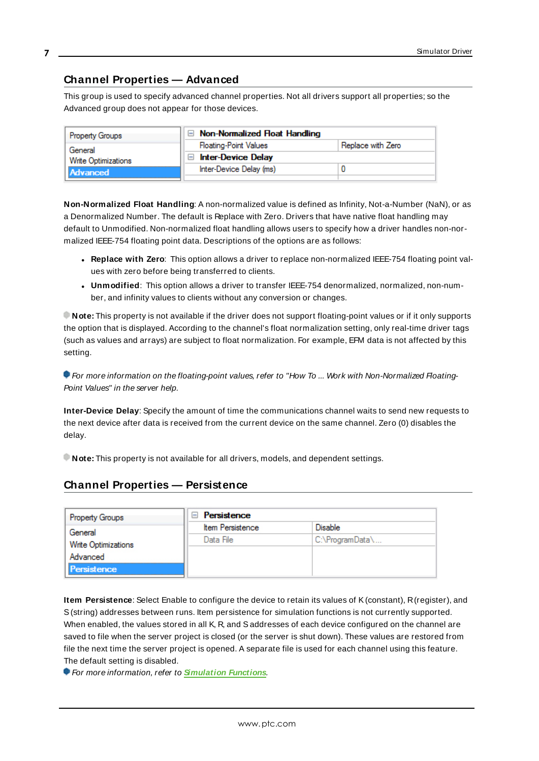# <span id="page-6-0"></span>**Channel Properties — Advanced**

This group is used to specify advanced channel properties. Not all drivers support all properties; so the Advanced group does not appear for those devices.

| <b>Property Groups</b>          | Non-Normalized Float Handling |                   |
|---------------------------------|-------------------------------|-------------------|
| General                         | <b>Floating-Point Values</b>  | Replace with Zero |
| Write Optimizations<br>Advanced | <b>Inter-Device Delay</b>     |                   |
|                                 | Inter-Device Delay (ms)       |                   |
|                                 |                               |                   |

**Non-Normalized Float Handling**: A non-normalized value is defined as Infinity, Not-a-Number (NaN), or as a Denormalized Number. The default is Replace with Zero. Drivers that have native float handling may default to Unmodified. Non-normalized float handling allows users to specify how a driver handles non-normalized IEEE-754 floating point data. Descriptions of the options are as follows:

- <sup>l</sup> **Replace with Zero**: This option allows a driver to replace non-normalized IEEE-754 floating point values with zero before being transferred to clients.
- <sup>l</sup> **Unmodified**: This option allows a driver to transfer IEEE-754 denormalized, normalized, non-number, and infinity values to clients without any conversion or changes.

**Note:** This property is not available if the driver does not support floating-point values or if it only supports the option that is displayed. According to the channel's float normalization setting, only real-time driver tags (such as values and arrays) are subject to float normalization. For example, EFM data is not affected by this setting.

For more information on the floating-point values, refer to "How To ... Work with Non-Normalized Floating-Point Values" in the server help.

**Inter-Device Delay**: Specify the amount of time the communications channel waits to send new requests to the next device after data is received from the current device on the same channel. Zero (0) disables the delay.

<span id="page-6-1"></span>**Note:** This property is not available for all drivers, models, and dependent settings.

# **Channel Properties — Persistence**

| <b>Property Groups</b> | Persistence<br>$\equiv$ |                 |
|------------------------|-------------------------|-----------------|
| General                | <b>Item Persistence</b> | <b>Disable</b>  |
| Write Optimizations    | Data File               | C:\ProgramData\ |
| Advanced               |                         |                 |
| <b>Persistence</b>     |                         |                 |
|                        |                         |                 |

**Item Persistence**: Select Enable to configure the device to retain its values of K(constant), R(register), and S(string) addresses between runs. Item persistence for simulation functions is not currently supported. When enabled, the values stored in all K, R, and S addresses of each device configured on the channel are saved to file when the server project is closed (or the server is shut down). These values are restored from file the next time the server project is opened. A separate file is used for each channel using this feature. The default setting is disabled.

For more information, refer to **[Simulation](#page-17-1) Functions**.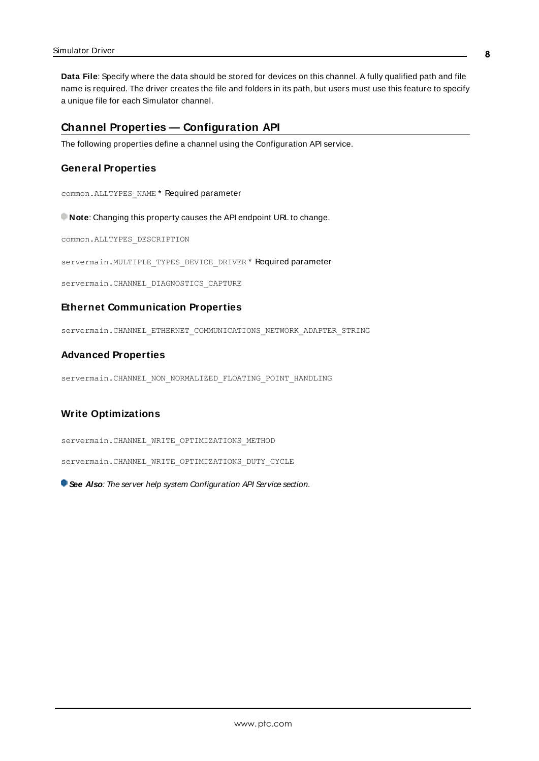**Data File**: Specify where the data should be stored for devices on this channel. A fully qualified path and file name is required. The driver creates the file and folders in its path, but users must use this feature to specify a unique file for each Simulator channel.

#### <span id="page-7-0"></span>**Channel Properties — Configuration API**

The following properties define a channel using the Configuration API service.

#### **General Properties**

common.ALLTYPES\_NAME \* Required parameter

**Note:** Changing this property causes the API endpoint URL to change.

common.ALLTYPES\_DESCRIPTION

servermain.MULTIPLE\_TYPES\_DEVICE\_DRIVER \* Required parameter

servermain.CHANNEL DIAGNOSTICS CAPTURE

#### **Ethernet Communication Properties**

servermain.CHANNEL\_ETHERNET\_COMMUNICATIONS\_NETWORK\_ADAPTER\_STRING

#### **Advanced Properties**

servermain.CHANNEL\_NON\_NORMALIZED\_FLOATING\_POINT\_HANDLING

#### **Write Optimizations**

servermain.CHANNEL WRITE OPTIMIZATIONS METHOD

servermain.CHANNEL WRITE OPTIMIZATIONS DUTY CYCLE

**See Also:** The server help system Configuration API Service section.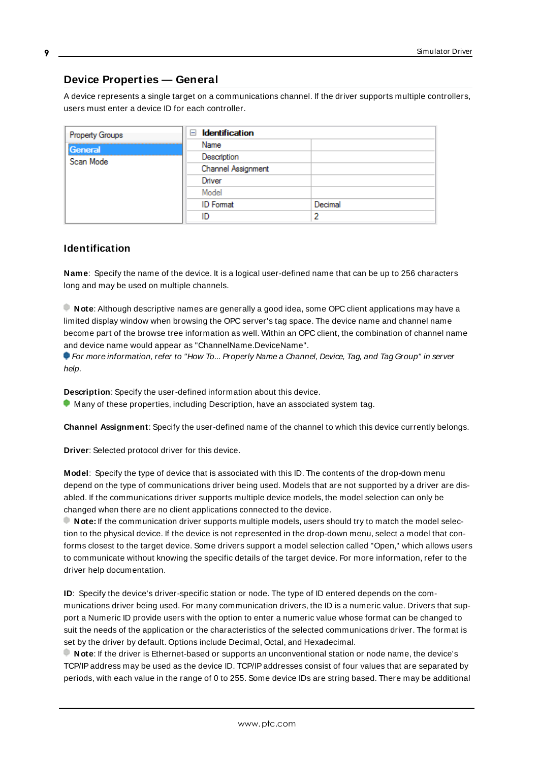# <span id="page-8-0"></span>**Device Properties — General**

A device represents a single target on a communications channel. If the driver supports multiple controllers, users must enter a device ID for each controller.

| Property Groups | Identification<br>н |         |
|-----------------|---------------------|---------|
| General         | Name                |         |
| Scan Mode       | Description         |         |
|                 | Channel Assignment  |         |
|                 | Driver              |         |
|                 | Model               |         |
|                 | <b>ID</b> Format    | Decimal |
|                 | ID                  | っ       |

## <span id="page-8-5"></span>**Identification**

**Name**: Specify the name of the device. It is a logical user-defined name that can be up to 256 characters long and may be used on multiple channels.

**Note**: Although descriptive names are generally a good idea, some OPC client applications may have a limited display window when browsing the OPC server's tag space. The device name and channel name become part of the browse tree information as well. Within an OPC client, the combination of channel name and device name would appear as "ChannelName.DeviceName".

For more information, refer to "How To... Properly Name a Channel, Device, Tag, and Tag Group" in server help.

**Description**: Specify the user-defined information about this device.

<span id="page-8-1"></span>**Many of these properties, including Description, have an associated system tag.** 

<span id="page-8-2"></span>**Channel Assignment**: Specify the user-defined name of the channel to which this device currently belongs.

<span id="page-8-4"></span>**Driver**: Selected protocol driver for this device.

**Model**: Specify the type of device that is associated with this ID. The contents of the drop-down menu depend on the type of communications driver being used. Models that are not supported by a driver are disabled. If the communications driver supports multiple device models, the model selection can only be changed when there are no client applications connected to the device.

**Note:** If the communication driver supports multiple models, users should try to match the model selection to the physical device. If the device is not represented in the drop-down menu, select a model that conforms closest to the target device. Some drivers support a model selection called "Open," which allows users to communicate without knowing the specific details of the target device. For more information, refer to the driver help documentation.

<span id="page-8-3"></span>**ID**: Specify the device's driver-specific station or node. The type of ID entered depends on the communications driver being used. For many communication drivers, the ID is a numeric value. Drivers that support a Numeric ID provide users with the option to enter a numeric value whose format can be changed to suit the needs of the application or the characteristics of the selected communications driver. The format is set by the driver by default. Options include Decimal, Octal, and Hexadecimal.

**Note**: If the driver is Ethernet-based or supports an unconventional station or node name, the device's TCP/IPaddress may be used as the device ID. TCP/IPaddresses consist of four values that are separated by periods, with each value in the range of 0 to 255. Some device IDs are string based. There may be additional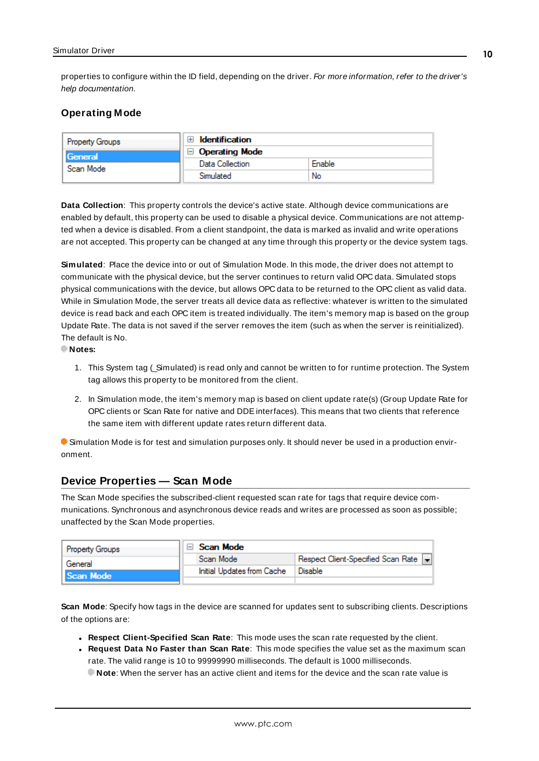properties to configure within the ID field, depending on the driver. For more information, refer to the driver's help documentation.

# <span id="page-9-0"></span>**Operating Mode**

| Property Groups | <b>Identification</b> |        |
|-----------------|-----------------------|--------|
| <b>General</b>  | <b>Operating Mode</b> |        |
| Scan Mode       | Data Collection       | Enable |
|                 | Simulated             | No     |

<span id="page-9-2"></span>**Data Collection**: This property controls the device's active state. Although device communications are enabled by default, this property can be used to disable a physical device. Communications are not attempted when a device is disabled. From a client standpoint, the data is marked as invalid and write operations are not accepted. This property can be changed at any time through this property or the device system tags.

<span id="page-9-4"></span>**Simulated**: Place the device into or out of Simulation Mode. In this mode, the driver does not attempt to communicate with the physical device, but the server continues to return valid OPC data. Simulated stops physical communications with the device, but allows OPC data to be returned to the OPC client as valid data. While in Simulation Mode, the server treats all device data as reflective: whatever is written to the simulated device is read back and each OPC item is treated individually. The item's memory map is based on the group Update Rate. The data is not saved if the server removes the item (such as when the server is reinitialized). The default is No.

**Notes:**

- 1. This System tag (Simulated) is read only and cannot be written to for runtime protection. The System tag allows this property to be monitored from the client.
- 2. In Simulation mode, the item's memory map is based on client update rate(s) (Group Update Rate for OPC clients or Scan Rate for native and DDEinterfaces). This means that two clients that reference the same item with different update rates return different data.

 Simulation Mode is for test and simulation purposes only. It should never be used in a production environment.

# <span id="page-9-1"></span>**Device Properties — Scan Mode**

The Scan Mode specifies the subscribed-client requested scan rate for tags that require device communications. Synchronous and asynchronous device reads and writes are processed as soon as possible; unaffected by the Scan Mode properties.

| Property Groups | $\Box$ Scan Mode           |                                    |
|-----------------|----------------------------|------------------------------------|
| General         | Scan Mode                  | Respect Client-Specified Scan Rate |
| Scan Mode       | Initial Updates from Cache | <b>Disable</b>                     |
|                 |                            |                                    |

<span id="page-9-3"></span>**Scan Mode**: Specify how tags in the device are scanned for updates sent to subscribing clients. Descriptions of the options are:

- <sup>l</sup> **Respect Client-Specified Scan Rate**: This mode uses the scan rate requested by the client.
- <sup>l</sup> **Request Data No Faster than Scan Rate**: This mode specifies the value set as the maximum scan rate. The valid range is 10 to 99999990 milliseconds. The default is 1000 milliseconds.

**Note**: When the server has an active client and items for the device and the scan rate value is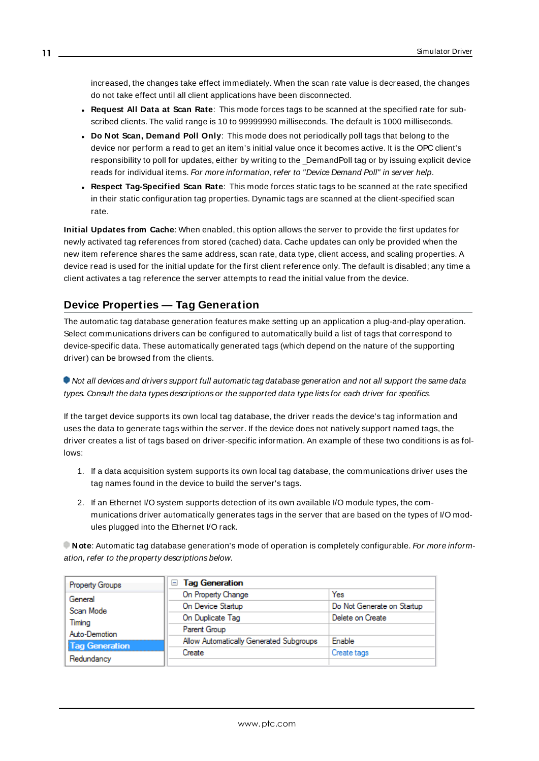increased, the changes take effect immediately. When the scan rate value is decreased, the changes do not take effect until all client applications have been disconnected.

- <span id="page-10-1"></span><sup>l</sup> **Request All Data at Scan Rate**: This mode forces tags to be scanned at the specified rate for subscribed clients. The valid range is 10 to 99999990 milliseconds. The default is 1000 milliseconds.
- <sup>l</sup> **Do Not Scan, Demand Poll Only**: This mode does not periodically poll tags that belong to the device nor perform a read to get an item's initial value once it becomes active. It is the OPC client's responsibility to poll for updates, either by writing to the \_DemandPoll tag or by issuing explicit device reads for individual items. For more information, refer to "Device Demand Poll" in server help.
- <span id="page-10-3"></span><sup>l</sup> **Respect Tag-Specified Scan Rate**: This mode forces static tags to be scanned at the rate specified in their static configuration tag properties. Dynamic tags are scanned at the client-specified scan rate.

<span id="page-10-2"></span>**Initial Updates from Cache**: When enabled, this option allows the server to provide the first updates for newly activated tag references from stored (cached) data. Cache updates can only be provided when the new item reference shares the same address, scan rate, data type, client access, and scaling properties. A device read is used for the initial update for the first client reference only. The default is disabled; any time a client activates a tag reference the server attempts to read the initial value from the device.

# <span id="page-10-0"></span>**Device Properties — Tag Generation**

The automatic tag database generation features make setting up an application a plug-and-play operation. Select communications drivers can be configured to automatically build a list of tags that correspond to device-specific data. These automatically generated tags (which depend on the nature of the supporting driver) can be browsed from the clients.

Not all devices and drivers support full automatic tag database generation and not all support the same data types. Consult the data types descriptions or the supported data type lists for each driver for specifics.

If the target device supports its own local tag database, the driver reads the device's tag information and uses the data to generate tags within the server. If the device does not natively support named tags, the driver creates a list of tags based on driver-specific information. An example of these two conditions is as follows:

- 1. If a data acquisition system supports its own local tag database, the communications driver uses the tag names found in the device to build the server's tags.
- 2. If an Ethernet I/O system supports detection of its own available I/O module types, the communications driver automatically generates tags in the server that are based on the types of I/O modules plugged into the Ethernet I/O rack.

**Note:** Automatic tag database generation's mode of operation is completely configurable. For more information, refer to the property descriptions below.

| Property Groups       | □ Tag Generation                        |                            |  |
|-----------------------|-----------------------------------------|----------------------------|--|
| General               | On Property Change                      | Yes                        |  |
| Scan Mode             | On Device Startup                       | Do Not Generate on Startup |  |
| Timina                | On Duplicate Tag                        | Delete on Create           |  |
| Auto-Demotion         | Parent Group                            |                            |  |
| <b>Tag Generation</b> | Allow Automatically Generated Subgroups | Enable                     |  |
|                       | Create                                  | Create tags                |  |
| Redundancy            |                                         |                            |  |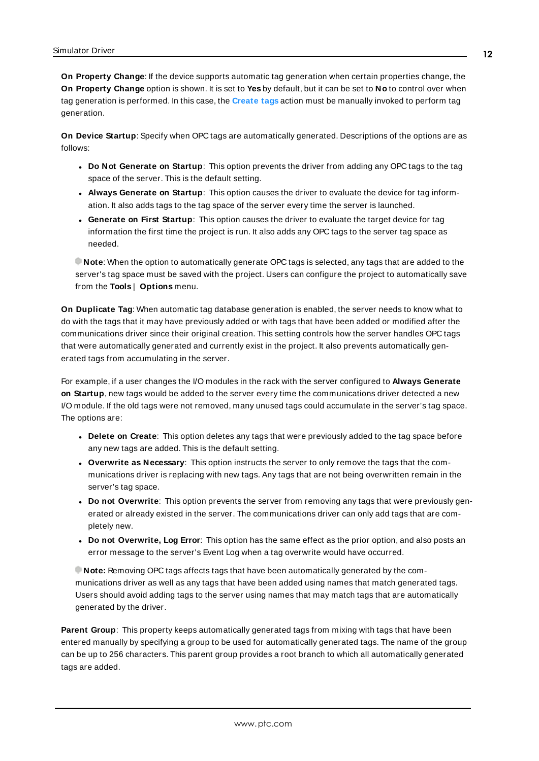<span id="page-11-4"></span>**On Property Change**: If the device supports automatic tag generation when certain properties change, the **On Property Change** option is shown. It is set to **Yes** by default, but it can be set to **No** to control over when tag generation is performed. In this case, the **Create tags** action must be manually invoked to perform tag generation.

<span id="page-11-2"></span>**On Device Startup**: Specify when OPC tags are automatically generated. Descriptions of the options are as follows:

- <span id="page-11-1"></span><sup>l</sup> **Do Not Generate on Startup**: This option prevents the driver from adding any OPC tags to the tag space of the server. This is the default setting.
- <sup>l</sup> **Always Generate on Startup**: This option causes the driver to evaluate the device for tag information. It also adds tags to the tag space of the server every time the server is launched.
- <sup>l</sup> **Generate on First Startup**: This option causes the driver to evaluate the target device for tag information the first time the project is run. It also adds any OPC tags to the server tag space as needed.

**Note**: When the option to automatically generate OPC tags is selected, any tags that are added to the server's tag space must be saved with the project. Users can configure the project to automatically save from the **Tools** | **Options** menu.

<span id="page-11-3"></span>**On Duplicate Tag**: When automatic tag database generation is enabled, the server needs to know what to do with the tags that it may have previously added or with tags that have been added or modified after the communications driver since their original creation. This setting controls how the server handles OPC tags that were automatically generated and currently exist in the project. It also prevents automatically generated tags from accumulating in the server.

For example, if a user changes the I/O modules in the rack with the server configured to **Always Generate on Startup**, new tags would be added to the server every time the communications driver detected a new I/O module. If the old tags were not removed, many unused tags could accumulate in the server's tag space. The options are:

- <span id="page-11-5"></span><span id="page-11-0"></span>**• Delete on Create**: This option deletes any tags that were previously added to the tag space before any new tags are added. This is the default setting.
- <sup>l</sup> **Overwrite as Necessary**: This option instructs the server to only remove the tags that the communications driver is replacing with new tags. Any tags that are not being overwritten remain in the server's tag space.
- **.** Do not Overwrite: This option prevents the server from removing any tags that were previously generated or already existed in the server. The communications driver can only add tags that are completely new.
- <sup>l</sup> **Do not Overwrite, Log Error**: This option has the same effect as the prior option, and also posts an error message to the server's Event Log when a tag overwrite would have occurred.

**Note:** Removing OPC tags affects tags that have been automatically generated by the communications driver as well as any tags that have been added using names that match generated tags. Users should avoid adding tags to the server using names that may match tags that are automatically generated by the driver.

<span id="page-11-6"></span>**Parent Group**: This property keeps automatically generated tags from mixing with tags that have been entered manually by specifying a group to be used for automatically generated tags. The name of the group can be up to 256 characters. This parent group provides a root branch to which all automatically generated tags are added.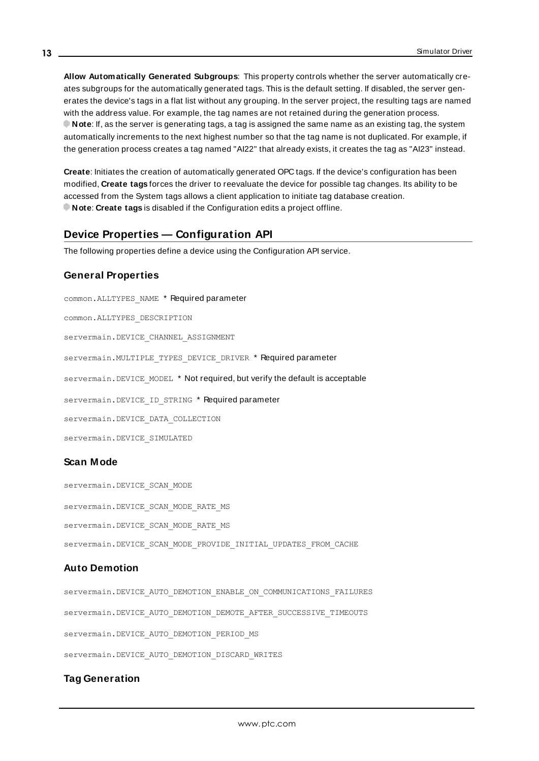<span id="page-12-1"></span>**Allow Automatically Generated Subgroups**: This property controls whether the server automatically creates subgroups for the automatically generated tags. This is the default setting. If disabled, the server generates the device's tags in a flat list without any grouping. In the server project, the resulting tags are named with the address value. For example, the tag names are not retained during the generation process. **Note**: If, as the server is generating tags, a tag is assigned the same name as an existing tag, the system automatically increments to the next highest number so that the tag name is not duplicated. For example, if the generation process creates a tag named "AI22" that already exists, it creates the tag as "AI23" instead.

<span id="page-12-2"></span>**Create**: Initiates the creation of automatically generated OPC tags. If the device's configuration has been modified, **Create tags** forces the driver to reevaluate the device for possible tag changes. Its ability to be accessed from the System tags allows a client application to initiate tag database creation. **Note**: **Create tags** is disabled if the Configuration edits a project offline.

# <span id="page-12-0"></span>**Device Properties — Configuration API**

The following properties define a device using the Configuration API service.

### **General Properties**

common.ALLTYPES\_NAME \* Required parameter common.ALLTYPES\_DESCRIPTION servermain.DEVICE\_CHANNEL\_ASSIGNMENT servermain. MULTIPLE TYPES DEVICE DRIVER \* Required parameter servermain. DEVICE MODEL \* Not required, but verify the default is acceptable servermain.DEVICE ID STRING \* Required parameter servermain.DEVICE\_DATA\_COLLECTION servermain.DEVICE\_SIMULATED

# **Scan Mode**

servermain.DEVICE\_SCAN\_MODE servermain.DEVICE\_SCAN\_MODE\_RATE\_MS servermain.DEVICE\_SCAN\_MODE\_RATE\_MS servermain.DEVICE\_SCAN\_MODE\_PROVIDE\_INITIAL\_UPDATES\_FROM\_CACHE

### **Auto Demotion**

servermain.DEVICE\_AUTO\_DEMOTION\_ENABLE\_ON\_COMMUNICATIONS\_FAILURES servermain.DEVICE\_AUTO\_DEMOTION\_DEMOTE\_AFTER\_SUCCESSIVE\_TIMEOUTS servermain.DEVICE\_AUTO\_DEMOTION\_PERIOD\_MS servermain.DEVICE\_AUTO\_DEMOTION\_DISCARD\_WRITES

## **Tag Generation**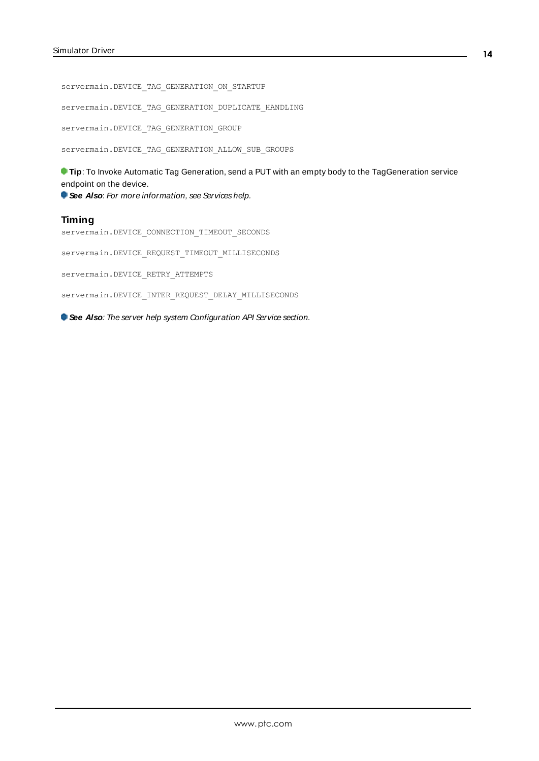servermain.DEVICE\_TAG\_GENERATION\_ON\_STARTUP

servermain.DEVICE\_TAG\_GENERATION\_DUPLICATE\_HANDLING

servermain.DEVICE\_TAG\_GENERATION\_GROUP

servermain.DEVICE\_TAG\_GENERATION\_ALLOW\_SUB\_GROUPS

**Tip:** To Invoke Automatic Tag Generation, send a PUT with an empty body to the TagGeneration service endpoint on the device.

**See Also:** For more information, see Services help.

#### **Timing**

servermain.DEVICE\_CONNECTION\_TIMEOUT\_SECONDS

servermain.DEVICE\_REQUEST\_TIMEOUT\_MILLISECONDS

servermain.DEVICE\_RETRY\_ATTEMPTS

servermain.DEVICE\_INTER\_REQUEST\_DELAY\_MILLISECONDS

**See Also:** The server help system Configuration API Service section.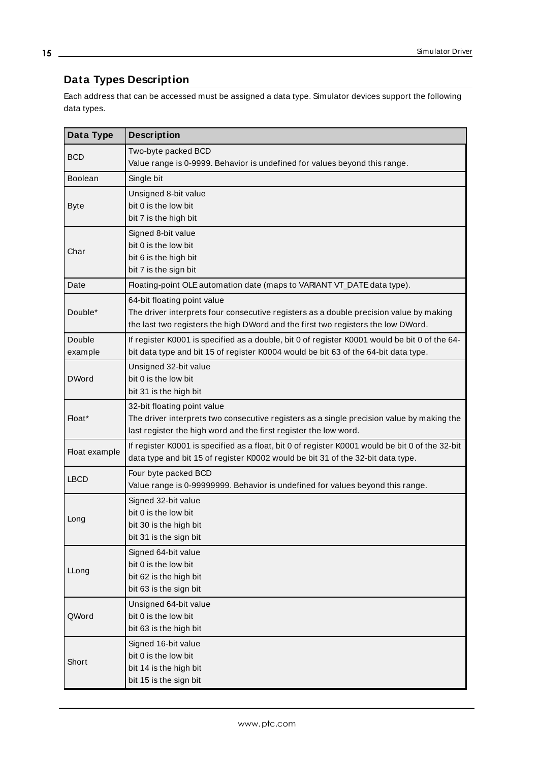# <span id="page-14-0"></span>**Data Types Description**

Each address that can be accessed must be assigned a data type. Simulator devices support the following data types.

<u> 1989 - Johann Barn, mars et al.</u>

<span id="page-14-13"></span><span id="page-14-12"></span><span id="page-14-11"></span><span id="page-14-10"></span><span id="page-14-9"></span><span id="page-14-8"></span><span id="page-14-7"></span><span id="page-14-6"></span><span id="page-14-5"></span><span id="page-14-4"></span><span id="page-14-3"></span><span id="page-14-2"></span><span id="page-14-1"></span>

| Data Type         | <b>Description</b>                                                                                                                                                                                        |
|-------------------|-----------------------------------------------------------------------------------------------------------------------------------------------------------------------------------------------------------|
| <b>BCD</b>        | Two-byte packed BCD<br>Value range is 0-9999. Behavior is undefined for values beyond this range.                                                                                                         |
| <b>Boolean</b>    | Single bit                                                                                                                                                                                                |
| <b>Byte</b>       | Unsigned 8-bit value<br>bit 0 is the low bit<br>bit 7 is the high bit                                                                                                                                     |
| Char              | Signed 8-bit value<br>bit 0 is the low bit<br>bit 6 is the high bit<br>bit 7 is the sign bit                                                                                                              |
| Date              | Floating-point OLE automation date (maps to VARIANT VT_DATE data type).                                                                                                                                   |
| Double*           | 64-bit floating point value<br>The driver interprets four consecutive registers as a double precision value by making<br>the last two registers the high DWord and the first two registers the low DWord. |
| Double<br>example | If register K0001 is specified as a double, bit 0 of register K0001 would be bit 0 of the 64-<br>bit data type and bit 15 of register K0004 would be bit 63 of the 64-bit data type.                      |
| <b>DWord</b>      | Unsigned 32-bit value<br>bit 0 is the low bit<br>bit 31 is the high bit                                                                                                                                   |
| Float*            | 32-bit floating point value<br>The driver interprets two consecutive registers as a single precision value by making the<br>last register the high word and the first register the low word.              |
| Float example     | If register K0001 is specified as a float, bit 0 of register K0001 would be bit 0 of the 32-bit<br>data type and bit 15 of register K0002 would be bit 31 of the 32-bit data type.                        |
| <b>LBCD</b>       | Four byte packed BCD<br>Value range is 0-99999999. Behavior is undefined for values beyond this range.                                                                                                    |
| Long              | Signed 32-bit value<br>bit 0 is the low bit<br>bit 30 is the high bit<br>bit 31 is the sign bit                                                                                                           |
| LLong             | Signed 64-bit value<br>bit 0 is the low bit<br>bit 62 is the high bit<br>bit 63 is the sign bit                                                                                                           |
| QWord             | Unsigned 64-bit value<br>bit 0 is the low bit<br>bit 63 is the high bit                                                                                                                                   |
| Short             | Signed 16-bit value<br>bit 0 is the low bit<br>bit 14 is the high bit<br>bit 15 is the sign bit                                                                                                           |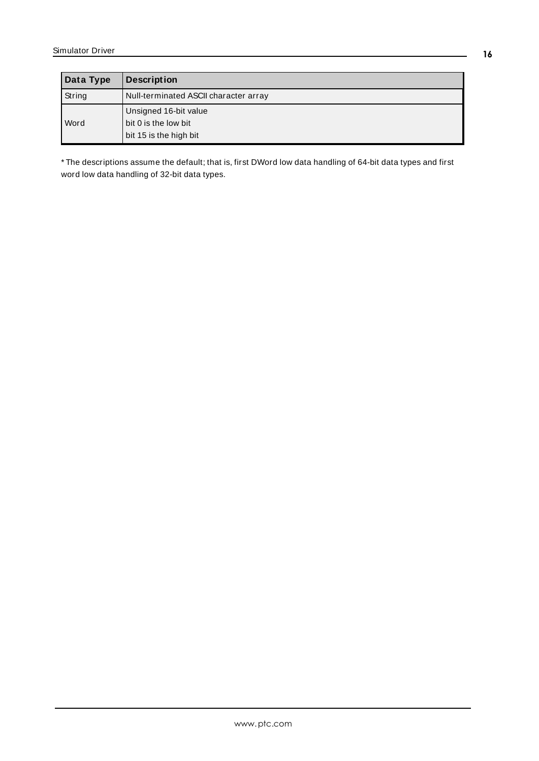<span id="page-15-1"></span><span id="page-15-0"></span>

| Data Type | <b>Description</b>                                                      |
|-----------|-------------------------------------------------------------------------|
| String    | Null-terminated ASCII character array                                   |
| Word      | Unsigned 16-bit value<br>bit 0 is the low bit<br>bit 15 is the high bit |

\* The descriptions assume the default; that is, first DWord low data handling of 64-bit data types and first word low data handling of 32-bit data types.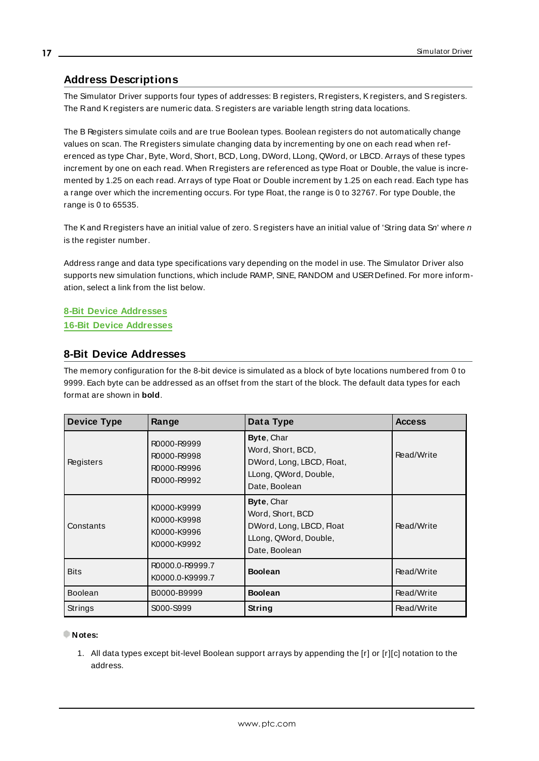# <span id="page-16-2"></span><span id="page-16-0"></span>**Address Descriptions**

The Simulator Driver supports four types of addresses: B registers, Rregisters, Kregisters, and Sregisters. The Rand Kregisters are numeric data. Sregisters are variable length string data locations.

The B Registers simulate coils and are true Boolean types. Boolean registers do not automatically change values on scan. The Rregisters simulate changing data by incrementing by one on each read when referenced as type Char, Byte, Word, Short, BCD, Long, DWord, LLong, QWord, or LBCD. Arrays of these types increment by one on each read. When Rregisters are referenced as type Float or Double, the value is incremented by 1.25 on each read. Arrays of type Float or Double increment by 1.25 on each read. Each type has a range over which the incrementing occurs. For type Float, the range is 0 to 32767. For type Double, the range is 0 to 65535.

The Kand Rregisters have an initial value of zero. Sregisters have an initial value of 'String data Sn' where  $n$ is the register number.

Address range and data type specifications vary depending on the model in use. The Simulator Driver also supports new simulation functions, which include RAMP, SINE, RANDOM and USERDefined. For more information, select a link from the list below.

# **8-Bit Device [Addresses](#page-16-1)**

# <span id="page-16-1"></span>**16-Bit Device [Addresses](#page-17-0)**

# **8-Bit Device Addresses**

The memory configuration for the 8-bit device is simulated as a block of byte locations numbered from 0 to 9999. Each byte can be addressed as an offset from the start of the block. The default data types for each format are shown in **bold**.

| <b>Device Type</b> | Range                                                    | Data Type                                                                                              | <b>Access</b> |
|--------------------|----------------------------------------------------------|--------------------------------------------------------------------------------------------------------|---------------|
| Registers          | R0000-R9999<br>R0000-R9998<br>R0000-R9996<br>R0000-R9992 | Byte, Char<br>Word, Short, BCD,<br>DWord, Long, LBCD, Float,<br>LLong, QWord, Double,<br>Date, Boolean | Read/Write    |
| Constants          | K0000-K9999<br>K0000-K9998<br>K0000-K9996<br>K0000-K9992 | Byte, Char<br>Word, Short, BCD<br>DWord, Long, LBCD, Float<br>LLong, QWord, Double,<br>Date, Boolean   | Read/Write    |
| <b>Bits</b>        | R0000.0-R9999.7<br>K0000.0-K9999.7                       | <b>Boolean</b>                                                                                         | Read/Write    |
| <b>Boolean</b>     | B0000-B9999                                              | <b>Boolean</b>                                                                                         | Read/Write    |
| <b>Strings</b>     | S000-S999                                                | String                                                                                                 | Read/Write    |

#### **Notes:**

1. All data types except bit-level Boolean support arrays by appending the [r] or [r][c] notation to the address.

**17**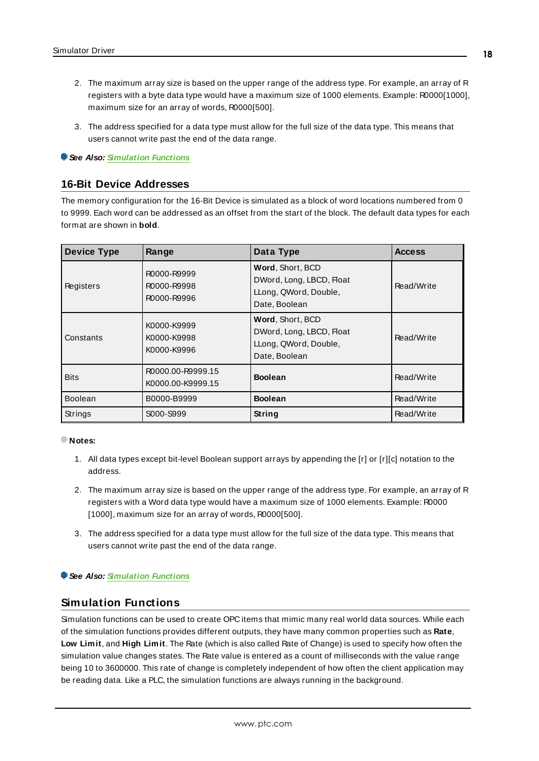- 2. The maximum array size is based on the upper range of the address type. For example, an array of R registers with a byte data type would have a maximum size of 1000 elements. Example: R0000[1000], maximum size for an array of words, R0000[500].
- 3. The address specified for a data type must allow for the full size of the data type. This means that users cannot write past the end of the data range.

#### <span id="page-17-0"></span>**See Also: [Simulation](#page-17-1) Functions**

# **16-Bit Device Addresses**

The memory configuration for the 16-Bit Device is simulated as a block of word locations numbered from 0 to 9999. Each word can be addressed as an offset from the start of the block. The default data types for each format are shown in **bold**.

| <b>Device Type</b> | Range                                     | Data Type                                                                              | <b>Access</b> |
|--------------------|-------------------------------------------|----------------------------------------------------------------------------------------|---------------|
| Registers          | R0000-R9999<br>R0000-R9998<br>R0000-R9996 | Word, Short, BCD<br>DWord, Long, LBCD, Float<br>LLong, QWord, Double,<br>Date, Boolean | Read/Write    |
| Constants          | K0000-K9999<br>K0000-K9998<br>K0000-K9996 | Word, Short, BCD<br>DWord, Long, LBCD, Float<br>LLong, QWord, Double,<br>Date, Boolean | Read/Write    |
| <b>Bits</b>        | R0000.00-R9999.15<br>K0000.00-K9999.15    | <b>Boolean</b>                                                                         | Read/Write    |
| <b>Boolean</b>     | B0000-B9999                               | <b>Boolean</b>                                                                         | Read/Write    |
| Strings            | S000-S999                                 | <b>String</b>                                                                          | Read/Write    |

#### **Notes:**

- 1. All data types except bit-level Boolean support arrays by appending the [r] or [r][c] notation to the address.
- 2. The maximum array size is based on the upper range of the address type. For example, an array of R registers with a Word data type would have a maximum size of 1000 elements. Example: R0000 [1000], maximum size for an array of words, R0000[500].
- 3. The address specified for a data type must allow for the full size of the data type. This means that users cannot write past the end of the data range.

#### <span id="page-17-1"></span>**See Also: [Simulation](#page-17-1) Functions**

# **Simulation Functions**

Simulation functions can be used to create OPC items that mimic many real world data sources. While each of the simulation functions provides different outputs, they have many common properties such as **Rate**, **Low Limit**, and **High Limit**. The Rate (which is also called Rate of Change) is used to specify how often the simulation value changes states. The Rate value is entered as a count of milliseconds with the value range being 10 to 3600000. This rate of change is completely independent of how often the client application may be reading data. Like a PLC, the simulation functions are always running in the background.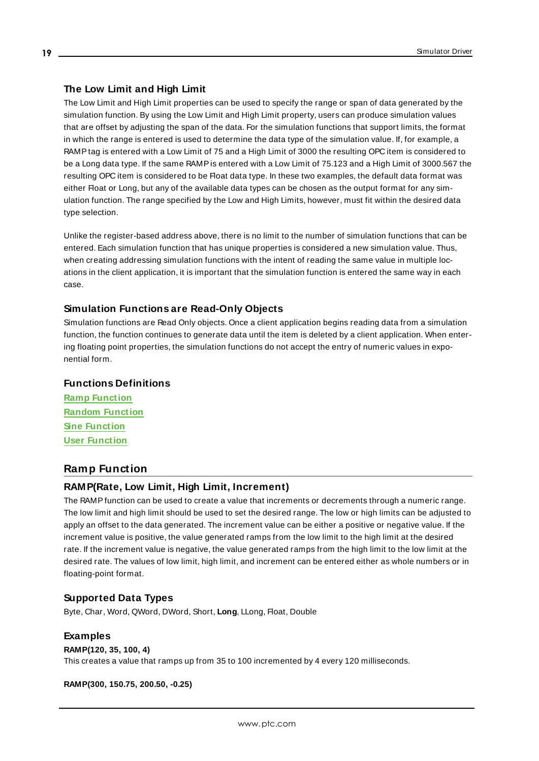# **The Low Limit and High Limit**

The Low Limit and High Limit properties can be used to specify the range or span of data generated by the simulation function. By using the Low Limit and High Limit property, users can produce simulation values that are offset by adjusting the span of the data. For the simulation functions that support limits, the format in which the range is entered is used to determine the data type of the simulation value. If, for example, a RAMPtag is entered with a Low Limit of 75 and a High Limit of 3000 the resulting OPC item is considered to be a Long data type. If the same RAMPis entered with a Low Limit of 75.123 and a High Limit of 3000.567 the resulting OPC item is considered to be Float data type. In these two examples, the default data format was either Float or Long, but any of the available data types can be chosen as the output format for any simulation function. The range specified by the Low and High Limits, however, must fit within the desired data type selection.

Unlike the register-based address above, there is no limit to the number of simulation functions that can be entered. Each simulation function that has unique properties is considered a new simulation value. Thus, when creating addressing simulation functions with the intent of reading the same value in multiple locations in the client application, it is important that the simulation function is entered the same way in each case.

### **Simulation Functions are Read-Only Objects**

Simulation functions are Read Only objects. Once a client application begins reading data from a simulation function, the function continues to generate data until the item is deleted by a client application. When entering floating point properties, the simulation functions do not accept the entry of numeric values in exponential form.

## **Functions Definitions**

**Ramp [Function](#page-18-0) Random [Function](#page-19-0) Sine [Function](#page-19-1) User [Function](#page-19-2)**

# <span id="page-18-0"></span>**Ramp Function**

### **RAMP(Rate, Low Limit, High Limit, Increment)**

The RAMPfunction can be used to create a value that increments or decrements through a numeric range. The low limit and high limit should be used to set the desired range. The low or high limits can be adjusted to apply an offset to the data generated. The increment value can be either a positive or negative value. If the increment value is positive, the value generated ramps from the low limit to the high limit at the desired rate. If the increment value is negative, the value generated ramps from the high limit to the low limit at the desired rate. The values of low limit, high limit, and increment can be entered either as whole numbers or in floating-point format.

### **Supported Data Types**

Byte, Char, Word, QWord, DWord, Short, **Long**, LLong, Float, Double

#### **Examples**

# **RAMP(120, 35, 100, 4)**

This creates a value that ramps up from 35 to 100 incremented by 4 every 120 milliseconds.

**RAMP(300, 150.75, 200.50, -0.25)**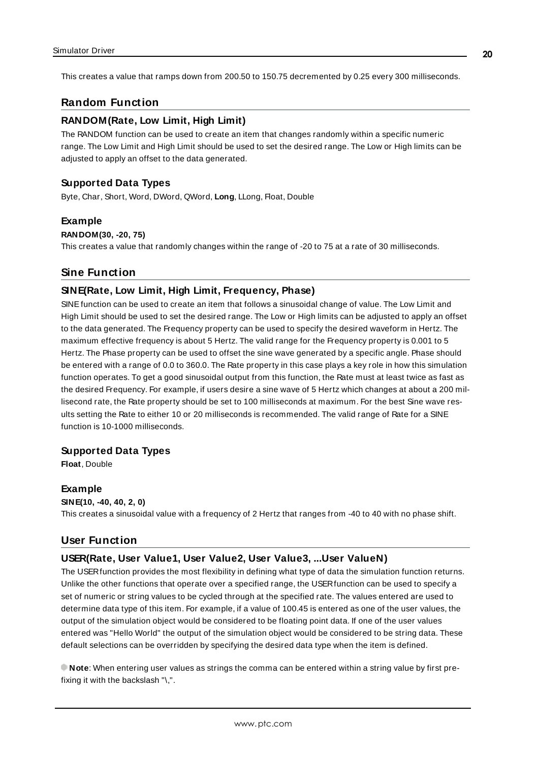<span id="page-19-0"></span>This creates a value that ramps down from 200.50 to 150.75 decremented by 0.25 every 300 milliseconds.

# **Random Function**

# **RANDOM(Rate, Low Limit, High Limit)**

The RANDOM function can be used to create an item that changes randomly within a specific numeric range. The Low Limit and High Limit should be used to set the desired range. The Low or High limits can be adjusted to apply an offset to the data generated.

### **Supported Data Types**

Byte, Char, Short, Word, DWord, QWord, **Long**, LLong, Float, Double

#### **Example**

#### **RANDOM(30, -20, 75)**

<span id="page-19-1"></span>This creates a value that randomly changes within the range of -20 to 75 at a rate of 30 milliseconds.

## **Sine Function**

#### **SINE(Rate, Low Limit, High Limit, Frequency, Phase)**

SINEfunction can be used to create an item that follows a sinusoidal change of value. The Low Limit and High Limit should be used to set the desired range. The Low or High limits can be adjusted to apply an offset to the data generated. The Frequency property can be used to specify the desired waveform in Hertz. The maximum effective frequency is about 5 Hertz. The valid range for the Frequency property is 0.001 to 5 Hertz. The Phase property can be used to offset the sine wave generated by a specific angle. Phase should be entered with a range of 0.0 to 360.0. The Rate property in this case plays a key role in how this simulation function operates. To get a good sinusoidal output from this function, the Rate must at least twice as fast as the desired Frequency. For example, if users desire a sine wave of 5 Hertz which changes at about a 200 millisecond rate, the Rate property should be set to 100 milliseconds at maximum. For the best Sine wave results setting the Rate to either 10 or 20 milliseconds is recommended. The valid range of Rate for a SINE function is 10-1000 milliseconds.

### **Supported Data Types**

**Float**, Double

#### **Example**

**SINE(10, -40, 40, 2, 0)** This creates a sinusoidal value with a frequency of 2 Hertz that ranges from -40 to 40 with no phase shift.

## <span id="page-19-2"></span>**User Function**

### **USER(Rate, User Value1, User Value2, User Value3, ...User ValueN)**

The USERfunction provides the most flexibility in defining what type of data the simulation function returns. Unlike the other functions that operate over a specified range, the USERfunction can be used to specify a set of numeric or string values to be cycled through at the specified rate. The values entered are used to determine data type of this item. For example, if a value of 100.45 is entered as one of the user values, the output of the simulation object would be considered to be floating point data. If one of the user values entered was "Hello World" the output of the simulation object would be considered to be string data. These default selections can be overridden by specifying the desired data type when the item is defined.

**Note**: When entering user values as strings the comma can be entered within a string value by first prefixing it with the backslash "\".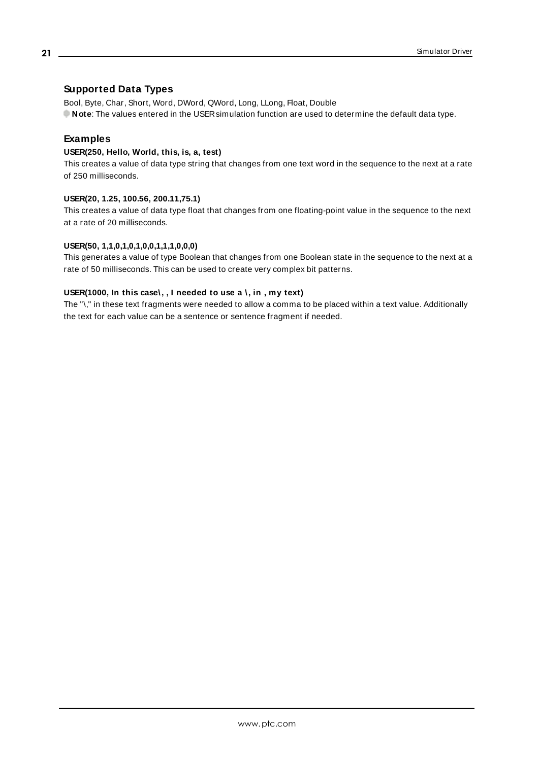# **Supported Data Types**

Bool, Byte, Char, Short, Word, DWord, QWord, Long, LLong, Float, Double **Note**: The values entered in the USERsimulation function are used to determine the default data type.

# **Examples**

#### **USER(250, Hello, World, this, is, a, test)**

This creates a value of data type string that changes from one text word in the sequence to the next at a rate of 250 milliseconds.

#### **USER(20, 1.25, 100.56, 200.11,75.1)**

This creates a value of data type float that changes from one floating-point value in the sequence to the next at a rate of 20 milliseconds.

#### **USER(50, 1,1,0,1,0,1,0,0,1,1,1,0,0,0)**

This generates a value of type Boolean that changes from one Boolean state in the sequence to the next at a rate of 50 milliseconds. This can be used to create very complex bit patterns.

#### **USER(1000, In this case\, , I needed to use a \, in , my text)**

The "\," in these text fragments were needed to allow a comma to be placed within a text value. Additionally the text for each value can be a sentence or sentence fragment if needed.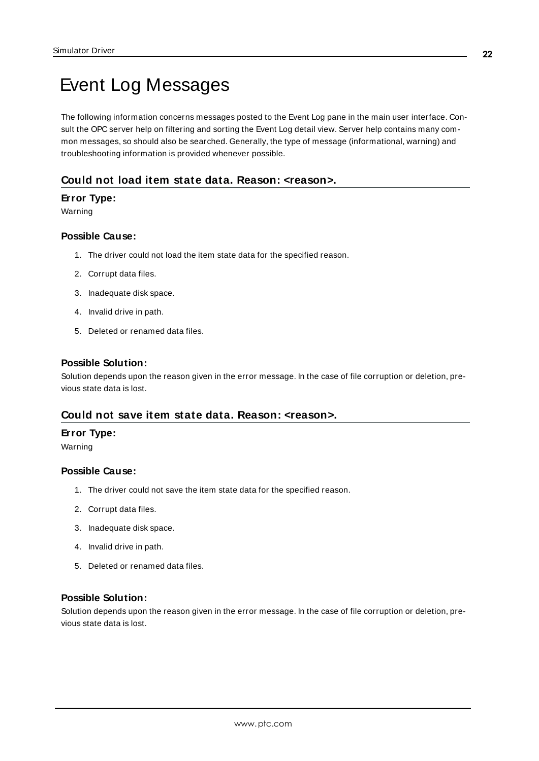# <span id="page-21-0"></span>Event Log Messages

The following information concerns messages posted to the Event Log pane in the main user interface. Consult the OPC server help on filtering and sorting the Event Log detail view. Server help contains many common messages, so should also be searched. Generally, the type of message (informational, warning) and troubleshooting information is provided whenever possible.

# <span id="page-21-1"></span>**Could not load item state data. Reason: <reason>.**

### **Error Type:**

Warning

#### **Possible Cause:**

- 1. The driver could not load the item state data for the specified reason.
- 2. Corrupt data files.
- 3. Inadequate disk space.
- 4. Invalid drive in path.
- 5. Deleted or renamed data files.

#### **Possible Solution:**

Solution depends upon the reason given in the error message. In the case of file corruption or deletion, previous state data is lost.

### <span id="page-21-2"></span>**Could not save item state data. Reason: <reason>.**

#### **Error Type:**

Warning

### **Possible Cause:**

- 1. The driver could not save the item state data for the specified reason.
- 2. Corrupt data files.
- 3. Inadequate disk space.
- 4. Invalid drive in path.
- 5. Deleted or renamed data files.

## **Possible Solution:**

Solution depends upon the reason given in the error message. In the case of file corruption or deletion, previous state data is lost.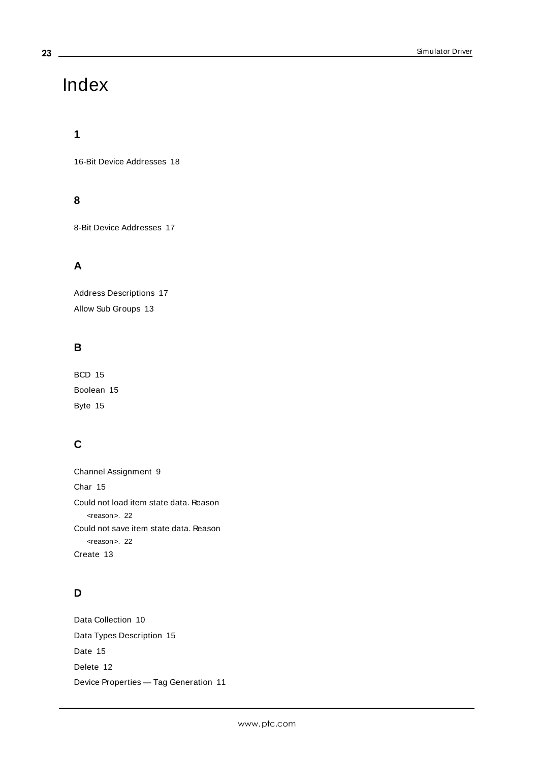# <span id="page-22-0"></span>Index

# **1**

16-Bit Device Addresses [18](#page-17-0)

# **8**

8-Bit Device Addresses [17](#page-16-1)

# **A**

Address Descriptions [17](#page-16-0) Allow Sub Groups [13](#page-12-1)

# **B**

BCD [15](#page-14-1) Boolean [15](#page-14-2) Byte [15](#page-14-3)

# **C**

Channel Assignment [9](#page-8-1) Char [15](#page-14-4) Could not load item state data. Reason <reason>. [22](#page-21-1) Could not save item state data. Reason <reason>. [22](#page-21-2) Create [13](#page-12-2)

# **D**

Data Collection [10](#page-9-2) Data Types Description [15](#page-14-0) Date [15](#page-14-5) Delete [12](#page-11-0) Device Properties — Tag Generation [11](#page-10-0)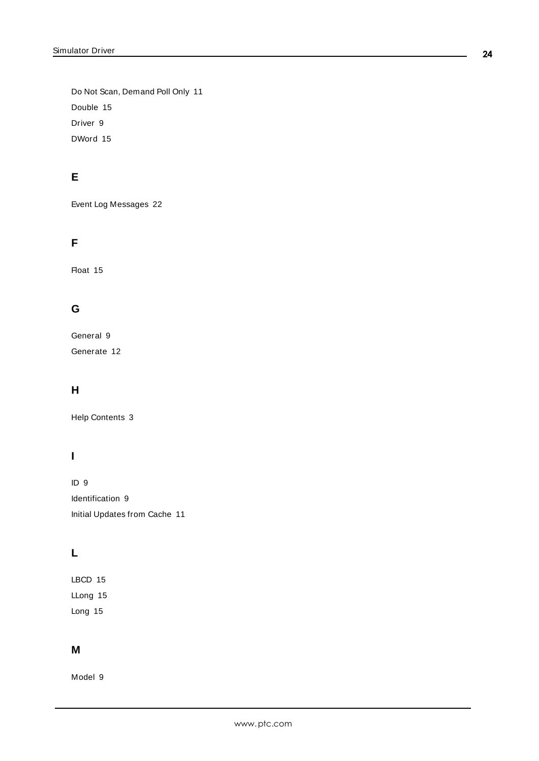Do Not Scan, Demand Poll Only [11](#page-10-1) Double [15](#page-14-6) Driver [9](#page-8-2) DWord [15](#page-14-7)

# **E**

Event Log Messages [22](#page-21-0)

# **F**

Float [15](#page-14-8)

# **G**

General [9](#page-8-0) Generate [12](#page-11-1)

# **H**

Help Contents [3](#page-2-0)

# **I**

ID [9](#page-8-3) Identification [9](#page-8-0) Initial Updates from Cache [11](#page-10-2)

# **L**

LBCD [15](#page-14-9) LLong [15](#page-14-10) Long [15](#page-14-11)

# **M**

Model [9](#page-8-4)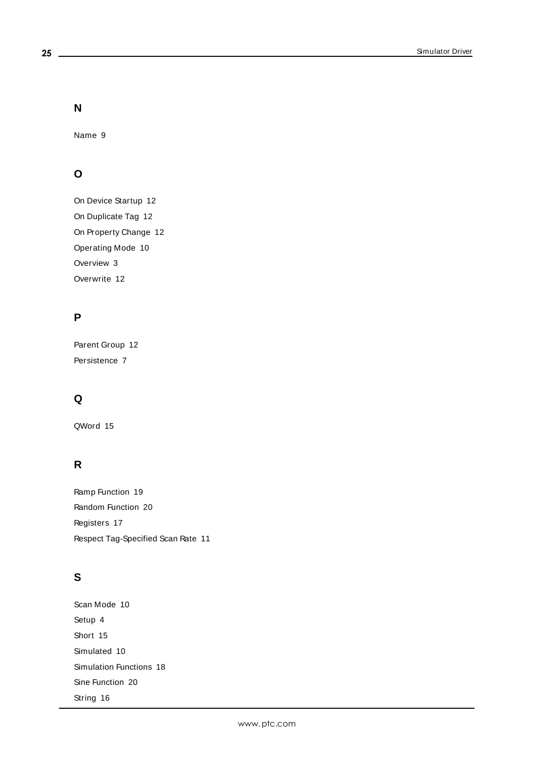**N**

Name [9](#page-8-5)

# **O**

On Device Startup [12](#page-11-2) On Duplicate Tag [12](#page-11-3) On Property Change [12](#page-11-4) Operating Mode [10](#page-9-0) Overview [3](#page-2-1) Overwrite [12](#page-11-5)

# **P**

Parent Group [12](#page-11-6) Persistence [7](#page-6-1)

# **Q**

QWord [15](#page-14-12)

# **R**

Ramp Function [19](#page-18-0) Random Function [20](#page-19-0) Registers [17](#page-16-2) Respect Tag-Specified Scan Rate [11](#page-10-3)

# **S**

Scan Mode [10](#page-9-3) Setup [4](#page-3-0) Short [15](#page-14-13) Simulated [10](#page-9-4) Simulation Functions [18](#page-17-1) Sine Function [20](#page-19-1) String [16](#page-15-0)